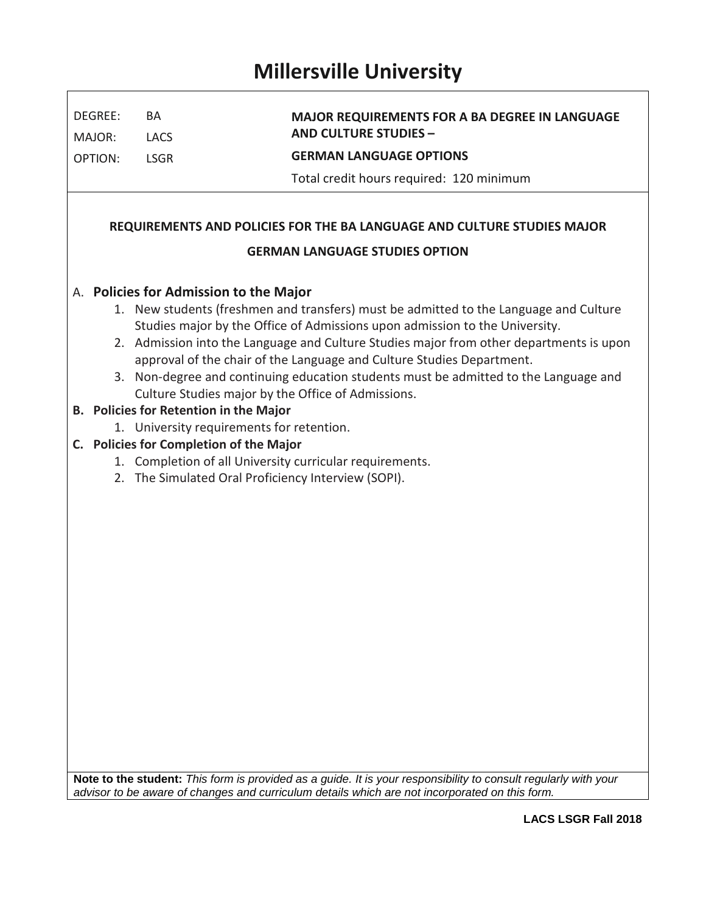## **Millersville University**

 $\Gamma$ 

| DEGREE:                                                                                                                                                                | BA                                                                                    | <b>MAJOR REQUIREMENTS FOR A BA DEGREE IN LANGUAGE</b><br><b>AND CULTURE STUDIES -</b> |  |  |  |  |  |  |  |  |
|------------------------------------------------------------------------------------------------------------------------------------------------------------------------|---------------------------------------------------------------------------------------|---------------------------------------------------------------------------------------|--|--|--|--|--|--|--|--|
| MAJOR:                                                                                                                                                                 | <b>LACS</b>                                                                           |                                                                                       |  |  |  |  |  |  |  |  |
| <b>OPTION:</b>                                                                                                                                                         | <b>LSGR</b>                                                                           | <b>GERMAN LANGUAGE OPTIONS</b>                                                        |  |  |  |  |  |  |  |  |
|                                                                                                                                                                        |                                                                                       | Total credit hours required: 120 minimum                                              |  |  |  |  |  |  |  |  |
|                                                                                                                                                                        |                                                                                       |                                                                                       |  |  |  |  |  |  |  |  |
| REQUIREMENTS AND POLICIES FOR THE BA LANGUAGE AND CULTURE STUDIES MAJOR                                                                                                |                                                                                       |                                                                                       |  |  |  |  |  |  |  |  |
| <b>GERMAN LANGUAGE STUDIES OPTION</b>                                                                                                                                  |                                                                                       |                                                                                       |  |  |  |  |  |  |  |  |
| A. Policies for Admission to the Major                                                                                                                                 |                                                                                       |                                                                                       |  |  |  |  |  |  |  |  |
|                                                                                                                                                                        | 1. New students (freshmen and transfers) must be admitted to the Language and Culture |                                                                                       |  |  |  |  |  |  |  |  |
| Studies major by the Office of Admissions upon admission to the University.<br>2. Admission into the Language and Culture Studies major from other departments is upon |                                                                                       |                                                                                       |  |  |  |  |  |  |  |  |
| approval of the chair of the Language and Culture Studies Department.                                                                                                  |                                                                                       |                                                                                       |  |  |  |  |  |  |  |  |
|                                                                                                                                                                        | 3. Non-degree and continuing education students must be admitted to the Language and  |                                                                                       |  |  |  |  |  |  |  |  |
| Culture Studies major by the Office of Admissions.<br>B. Policies for Retention in the Major                                                                           |                                                                                       |                                                                                       |  |  |  |  |  |  |  |  |
| 1. University requirements for retention.                                                                                                                              |                                                                                       |                                                                                       |  |  |  |  |  |  |  |  |
| C. Policies for Completion of the Major                                                                                                                                |                                                                                       |                                                                                       |  |  |  |  |  |  |  |  |
| 1. Completion of all University curricular requirements.                                                                                                               |                                                                                       |                                                                                       |  |  |  |  |  |  |  |  |
| 2. The Simulated Oral Proficiency Interview (SOPI).                                                                                                                    |                                                                                       |                                                                                       |  |  |  |  |  |  |  |  |
|                                                                                                                                                                        |                                                                                       |                                                                                       |  |  |  |  |  |  |  |  |
|                                                                                                                                                                        |                                                                                       |                                                                                       |  |  |  |  |  |  |  |  |
|                                                                                                                                                                        |                                                                                       |                                                                                       |  |  |  |  |  |  |  |  |
|                                                                                                                                                                        |                                                                                       |                                                                                       |  |  |  |  |  |  |  |  |
|                                                                                                                                                                        |                                                                                       |                                                                                       |  |  |  |  |  |  |  |  |
|                                                                                                                                                                        |                                                                                       |                                                                                       |  |  |  |  |  |  |  |  |
|                                                                                                                                                                        |                                                                                       |                                                                                       |  |  |  |  |  |  |  |  |
|                                                                                                                                                                        |                                                                                       |                                                                                       |  |  |  |  |  |  |  |  |
|                                                                                                                                                                        |                                                                                       |                                                                                       |  |  |  |  |  |  |  |  |
|                                                                                                                                                                        |                                                                                       |                                                                                       |  |  |  |  |  |  |  |  |
|                                                                                                                                                                        |                                                                                       |                                                                                       |  |  |  |  |  |  |  |  |
|                                                                                                                                                                        |                                                                                       |                                                                                       |  |  |  |  |  |  |  |  |
|                                                                                                                                                                        |                                                                                       |                                                                                       |  |  |  |  |  |  |  |  |

**Note to the student:** *This form is provided as a guide. It is your responsibility to consult regularly with your advisor to be aware of changes and curriculum details which are not incorporated on this form.* 

٦